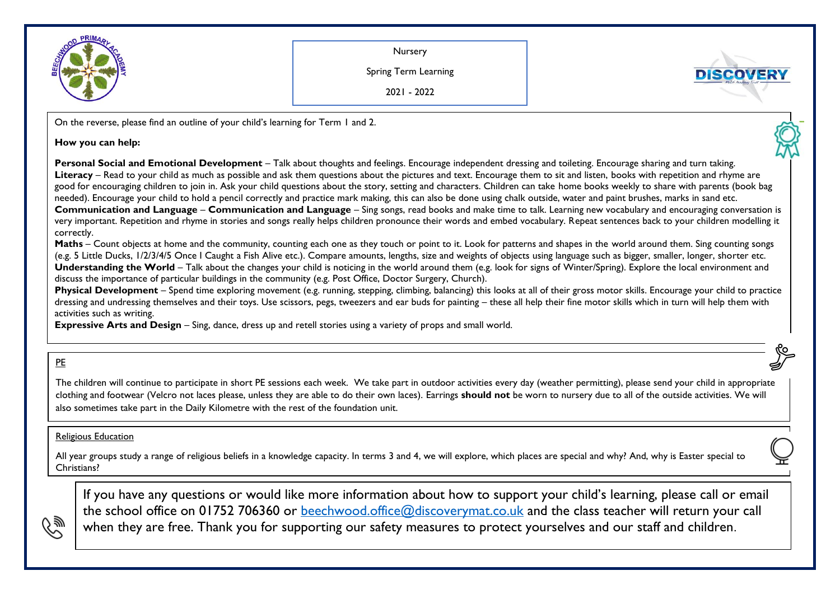

Nursery

Spring Term Learning

**DISCOVER** 

2021 - 2022

On the reverse, please find an outline of your child's learning for Term 1 and 2.

## **How you can help:**

**Personal Social and Emotional Development** – Talk about thoughts and feelings. Encourage independent dressing and toileting. Encourage sharing and turn taking. **Literacy** – Read to your child as much as possible and ask them questions about the pictures and text. Encourage them to sit and listen, books with repetition and rhyme are good for encouraging children to join in. Ask your child questions about the story, setting and characters. Children can take home books weekly to share with parents (book bag needed). Encourage your child to hold a pencil correctly and practice mark making, this can also be done using chalk outside, water and paint brushes, marks in sand etc. **Communication and Language** – **Communication and Language** – Sing songs, read books and make time to talk. Learning new vocabulary and encouraging conversation is very important. Repetition and rhyme in stories and songs really helps children pronounce their words and embed vocabulary. Repeat sentences back to your children modelling it correctly.

**Maths** – Count objects at home and the community, counting each one as they touch or point to it. Look for patterns and shapes in the world around them. Sing counting songs (e.g. 5 Little Ducks, 1/2/3/4/5 Once I Caught a Fish Alive etc.). Compare amounts, lengths, size and weights of objects using language such as bigger, smaller, longer, shorter etc. **Understanding the World** – Talk about the changes your child is noticing in the world around them (e.g. look for signs of Winter/Spring). Explore the local environment and discuss the importance of particular buildings in the community (e.g. Post Office, Doctor Surgery, Church).

**Physical Development** – Spend time exploring movement (e.g. running, stepping, climbing, balancing) this looks at all of their gross motor skills. Encourage your child to practice dressing and undressing themselves and their toys. Use scissors, pegs, tweezers and ear buds for painting – these all help their fine motor skills which in turn will help them with activities such as writing.

**Expressive Arts and Design** – Sing, dance, dress up and retell stories using a variety of props and small world.

## PE

ひ纱

The children will continue to participate in short PE sessions each week. We take part in outdoor activities every day (weather permitting), please send your child in appropriate clothing and footwear (Velcro not laces please, unless they are able to do their own laces). Earrings **should not** be worn to nursery due to all of the outside activities. We will also sometimes take part in the Daily Kilometre with the rest of the foundation unit.

## Religious Education

.<br>All year groups study a range of religious beliefs in a knowledge capacity. In terms 3 and 4, we will explore, which places are special and why? And, why is Easter special to Christians?

If you have any questions or would like more information about how to support your child's learning, please call or email the school office on 01752 706360 or [beechwood.office@discoverymat.co.uk](mailto:beechwood.office@discoverymat.co.uk) and the class teacher will return your call when they are free. Thank you for supporting our safety measures to protect yourselves and our staff and children.